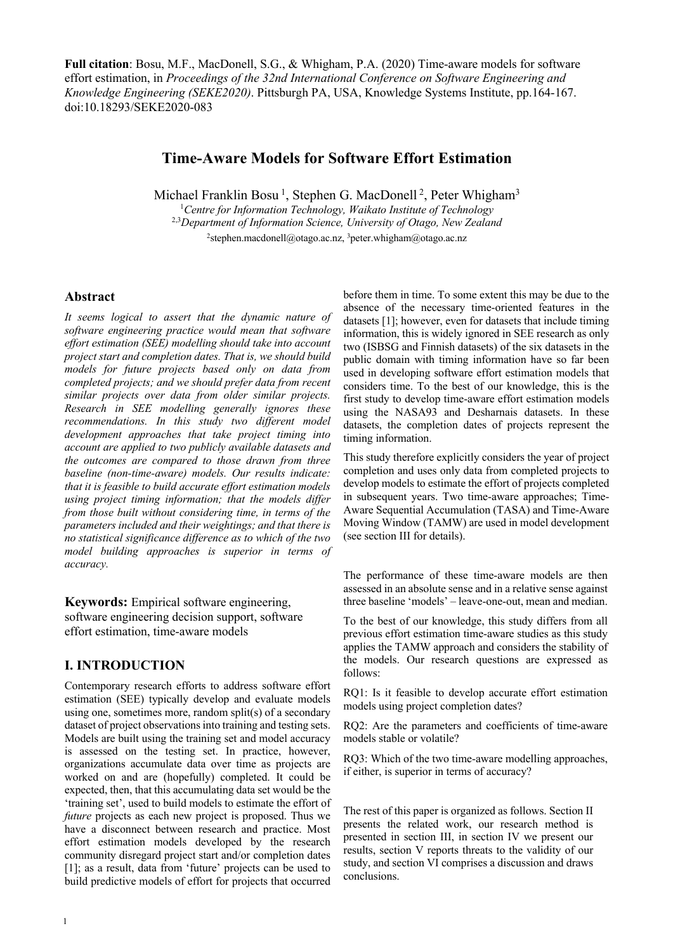**Full citation**: Bosu, M.F., MacDonell, S.G., & Whigham, P.A. (2020) Time-aware models for software effort estimation, in *Proceedings of the 32nd International Conference on Software Engineering and Knowledge Engineering (SEKE2020)*. Pittsburgh PA, USA, Knowledge Systems Institute, pp.164-167. doi:10.18293/SEKE2020-083

# **Time-Aware Models for Software Effort Estimation**

Michael Franklin Bosu<sup>1</sup>, Stephen G. MacDonell<sup>2</sup>, Peter Whigham<sup>3</sup> 1 *Centre for Information Technology, Waikato Institute of Technology* 2,3*Department of Information Science, University of Otago, New Zealand* <sup>2</sup>stephen.macdonell@otago.ac.nz, <sup>3</sup>peter.whigham@otago.ac.nz

### **Abstract**

*It seems logical to assert that the dynamic nature of software engineering practice would mean that software effort estimation (SEE) modelling should take into account project start and completion dates. That is, we should build models for future projects based only on data from completed projects; and we should prefer data from recent similar projects over data from older similar projects. Research in SEE modelling generally ignores these recommendations. In this study two different model development approaches that take project timing into account are applied to two publicly available datasets and the outcomes are compared to those drawn from three baseline (non-time-aware) models. Our results indicate: that it is feasible to build accurate effort estimation models using project timing information; that the models differ from those built without considering time, in terms of the parameters included and their weightings; and that there is no statistical significance difference as to which of the two model building approaches is superior in terms of accuracy.*

**Keywords:** Empirical software engineering, software engineering decision support, software effort estimation, time-aware models

## **I. INTRODUCTION**

Contemporary research efforts to address software effort estimation (SEE) typically develop and evaluate models using one, sometimes more, random split(s) of a secondary dataset of project observations into training and testing sets. Models are built using the training set and model accuracy is assessed on the testing set. In practice, however, organizations accumulate data over time as projects are worked on and are (hopefully) completed. It could be expected, then, that this accumulating data set would be the 'training set', used to build models to estimate the effort of *future* projects as each new project is proposed. Thus we have a disconnect between research and practice. Most effort estimation models developed by the research community disregard project start and/or completion dates [1]; as a result, data from 'future' projects can be used to build predictive models of effort for projects that occurred

before them in time. To some extent this may be due to the absence of the necessary time-oriented features in the datasets [1]; however, even for datasets that include timing information, this is widely ignored in SEE research as only two (ISBSG and Finnish datasets) of the six datasets in the public domain with timing information have so far been used in developing software effort estimation models that considers time. To the best of our knowledge, this is the first study to develop time-aware effort estimation models using the NASA93 and Desharnais datasets. In these datasets, the completion dates of projects represent the timing information.

This study therefore explicitly considers the year of project completion and uses only data from completed projects to develop models to estimate the effort of projects completed in subsequent years. Two time-aware approaches; Time-Aware Sequential Accumulation (TASA) and Time-Aware Moving Window (TAMW) are used in model development (see section III for details).

The performance of these time-aware models are then assessed in an absolute sense and in a relative sense against three baseline 'models' – leave-one-out, mean and median.

To the best of our knowledge, this study differs from all previous effort estimation time-aware studies as this study applies the TAMW approach and considers the stability of the models. Our research questions are expressed as follows:

RQ1: Is it feasible to develop accurate effort estimation models using project completion dates?

RQ2: Are the parameters and coefficients of time-aware models stable or volatile?

RQ3: Which of the two time-aware modelling approaches, if either, is superior in terms of accuracy?

The rest of this paper is organized as follows. Section II presents the related work, our research method is presented in section III, in section IV we present our results, section V reports threats to the validity of our study, and section VI comprises a discussion and draws conclusions.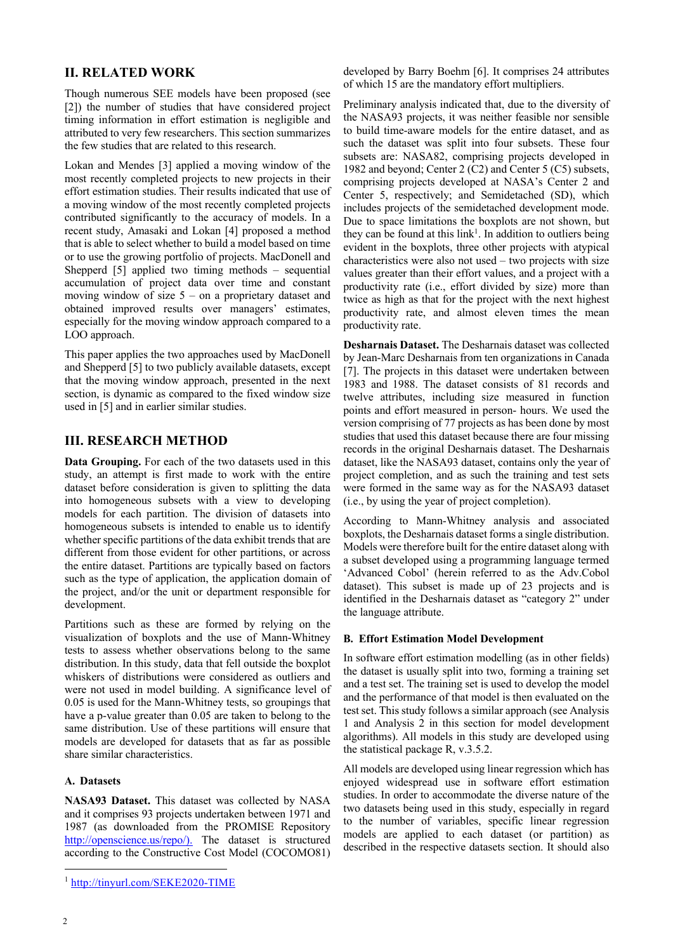### **II. RELATED WORK**

Though numerous SEE models have been proposed (see [2]) the number of studies that have considered project timing information in effort estimation is negligible and attributed to very few researchers. This section summarizes the few studies that are related to this research.

Lokan and Mendes [3] applied a moving window of the most recently completed projects to new projects in their effort estimation studies. Their results indicated that use of a moving window of the most recently completed projects contributed significantly to the accuracy of models. In a recent study, Amasaki and Lokan [4] proposed a method that is able to select whether to build a model based on time or to use the growing portfolio of projects. MacDonell and Shepperd [5] applied two timing methods – sequential accumulation of project data over time and constant moving window of size  $5 -$  on a proprietary dataset and obtained improved results over managers' estimates, especially for the moving window approach compared to a LOO approach.

This paper applies the two approaches used by MacDonell and Shepperd [5] to two publicly available datasets, except that the moving window approach, presented in the next section, is dynamic as compared to the fixed window size used in [5] and in earlier similar studies.

## **III. RESEARCH METHOD**

**Data Grouping.** For each of the two datasets used in this study, an attempt is first made to work with the entire dataset before consideration is given to splitting the data into homogeneous subsets with a view to developing models for each partition. The division of datasets into homogeneous subsets is intended to enable us to identify whether specific partitions of the data exhibit trends that are different from those evident for other partitions, or across the entire dataset. Partitions are typically based on factors such as the type of application, the application domain of the project, and/or the unit or department responsible for development.

Partitions such as these are formed by relying on the visualization of boxplots and the use of Mann-Whitney tests to assess whether observations belong to the same distribution. In this study, data that fell outside the boxplot whiskers of distributions were considered as outliers and were not used in model building. A significance level of 0.05 is used for the Mann-Whitney tests, so groupings that have a p-value greater than 0.05 are taken to belong to the same distribution. Use of these partitions will ensure that models are developed for datasets that as far as possible share similar characteristics.

### **A. Datasets**

**NASA93 Dataset.** This dataset was collected by NASA and it comprises 93 projects undertaken between 1971 and 1987 (as downloaded from the PROMISE Repository http://openscience.us/repo/). The dataset is structured according to the Constructive Cost Model (COCOMO81)

developed by Barry Boehm [6]. It comprises 24 attributes of which 15 are the mandatory effort multipliers.

Preliminary analysis indicated that, due to the diversity of the NASA93 projects, it was neither feasible nor sensible to build time-aware models for the entire dataset, and as such the dataset was split into four subsets. These four subsets are: NASA82, comprising projects developed in 1982 and beyond; Center 2 (C2) and Center 5 (C5) subsets, comprising projects developed at NASA's Center 2 and Center 5, respectively; and Semidetached (SD), which includes projects of the semidetached development mode. Due to space limitations the boxplots are not shown, but they can be found at this  $link<sup>1</sup>$ . In addition to outliers being evident in the boxplots, three other projects with atypical characteristics were also not used – two projects with size values greater than their effort values, and a project with a productivity rate (i.e., effort divided by size) more than twice as high as that for the project with the next highest productivity rate, and almost eleven times the mean productivity rate.

**Desharnais Dataset.** The Desharnais dataset was collected by Jean-Marc Desharnais from ten organizations in Canada [7]. The projects in this dataset were undertaken between 1983 and 1988. The dataset consists of 81 records and twelve attributes, including size measured in function points and effort measured in person- hours. We used the version comprising of 77 projects as has been done by most studies that used this dataset because there are four missing records in the original Desharnais dataset. The Desharnais dataset, like the NASA93 dataset, contains only the year of project completion, and as such the training and test sets were formed in the same way as for the NASA93 dataset (i.e., by using the year of project completion).

According to Mann-Whitney analysis and associated boxplots, the Desharnais dataset forms a single distribution. Models were therefore built for the entire dataset along with a subset developed using a programming language termed 'Advanced Cobol' (herein referred to as the Adv.Cobol dataset). This subset is made up of 23 projects and is identified in the Desharnais dataset as "category 2" under the language attribute.

#### **B. Effort Estimation Model Development**

In software effort estimation modelling (as in other fields) the dataset is usually split into two, forming a training set and a test set. The training set is used to develop the model and the performance of that model is then evaluated on the test set. This study follows a similar approach (see Analysis 1 and Analysis 2 in this section for model development algorithms). All models in this study are developed using the statistical package R, v.3.5.2.

All models are developed using linear regression which has enjoyed widespread use in software effort estimation studies. In order to accommodate the diverse nature of the two datasets being used in this study, especially in regard to the number of variables, specific linear regression models are applied to each dataset (or partition) as described in the respective datasets section. It should also

<sup>1</sup> http://tinyurl.com/SEKE2020-TIME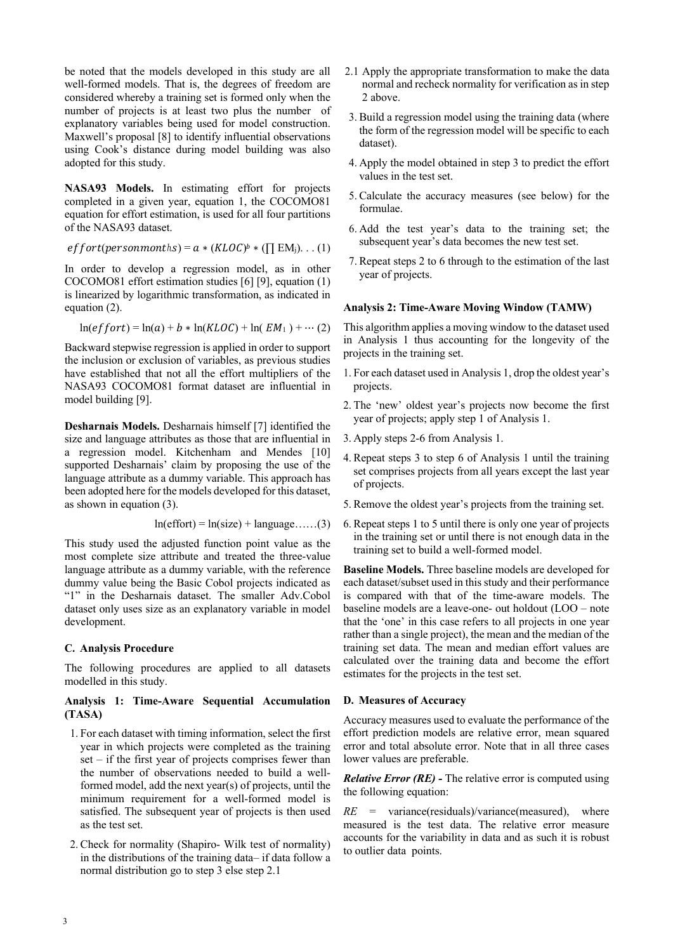be noted that the models developed in this study are all well-formed models. That is, the degrees of freedom are considered whereby a training set is formed only when the number of projects is at least two plus the number of explanatory variables being used for model construction. Maxwell's proposal [8] to identify influential observations using Cook's distance during model building was also adopted for this study.

**NASA93 Models.** In estimating effort for projects completed in a given year, equation 1, the COCOMO81 equation for effort estimation, is used for all four partitions of the NASA93 dataset.

*effort*(*personmonths*) = 
$$
a * (KLOC)^b * (\prod EM_j)
$$
. . . (1)

In order to develop a regression model, as in other COCOMO81 effort estimation studies [6] [9], equation (1) is linearized by logarithmic transformation, as indicated in equation (2).

$$
\ln(effort) = \ln(a) + b * \ln(KLOC) + \ln(EM_1) + \cdots (2)
$$

Backward stepwise regression is applied in order to support the inclusion or exclusion of variables, as previous studies have established that not all the effort multipliers of the NASA93 COCOMO81 format dataset are influential in model building [9].

**Desharnais Models.** Desharnais himself [7] identified the size and language attributes as those that are influential in a regression model. Kitchenham and Mendes [10] supported Desharnais' claim by proposing the use of the language attribute as a dummy variable. This approach has been adopted here for the models developed for this dataset, as shown in equation (3).

$$
ln(effort) = ln(size) + language....(3)
$$

This study used the adjusted function point value as the most complete size attribute and treated the three-value language attribute as a dummy variable, with the reference dummy value being the Basic Cobol projects indicated as "1" in the Desharnais dataset. The smaller Adv.Cobol dataset only uses size as an explanatory variable in model development.

### **C. Analysis Procedure**

The following procedures are applied to all datasets modelled in this study.

### **Analysis 1: Time-Aware Sequential Accumulation (TASA)**

- 1. For each dataset with timing information, select the first year in which projects were completed as the training set – if the first year of projects comprises fewer than the number of observations needed to build a wellformed model, add the next year(s) of projects, until the minimum requirement for a well-formed model is satisfied. The subsequent year of projects is then used as the test set.
- 2. Check for normality (Shapiro- Wilk test of normality) in the distributions of the training data– if data follow a normal distribution go to step 3 else step 2.1
- 2.1 Apply the appropriate transformation to make the data normal and recheck normality for verification as in step 2 above.
- 3. Build a regression model using the training data (where the form of the regression model will be specific to each dataset).
- 4. Apply the model obtained in step 3 to predict the effort values in the test set.
- 5. Calculate the accuracy measures (see below) for the formulae.
- 6. Add the test year's data to the training set; the subsequent year's data becomes the new test set.
- 7. Repeat steps 2 to 6 through to the estimation of the last year of projects.

#### **Analysis 2: Time-Aware Moving Window (TAMW)**

This algorithm applies a moving window to the dataset used in Analysis 1 thus accounting for the longevity of the projects in the training set.

- 1. For each dataset used in Analysis 1, drop the oldest year's projects.
- 2. The 'new' oldest year's projects now become the first year of projects; apply step 1 of Analysis 1.
- 3. Apply steps 2-6 from Analysis 1.
- 4. Repeat steps 3 to step 6 of Analysis 1 until the training set comprises projects from all years except the last year of projects.
- 5. Remove the oldest year's projects from the training set.
- 6. Repeat steps 1 to 5 until there is only one year of projects in the training set or until there is not enough data in the training set to build a well-formed model.

**Baseline Models.** Three baseline models are developed for each dataset/subset used in this study and their performance is compared with that of the time-aware models. The baseline models are a leave-one- out holdout (LOO – note that the 'one' in this case refers to all projects in one year rather than a single project), the mean and the median of the training set data. The mean and median effort values are calculated over the training data and become the effort estimates for the projects in the test set.

#### **D. Measures of Accuracy**

Accuracy measures used to evaluate the performance of the effort prediction models are relative error, mean squared error and total absolute error. Note that in all three cases lower values are preferable.

*Relative Error (RE) -* The relative error is computed using the following equation:

*RE* = variance(residuals)/variance(measured), where measured is the test data. The relative error measure accounts for the variability in data and as such it is robust to outlier data points.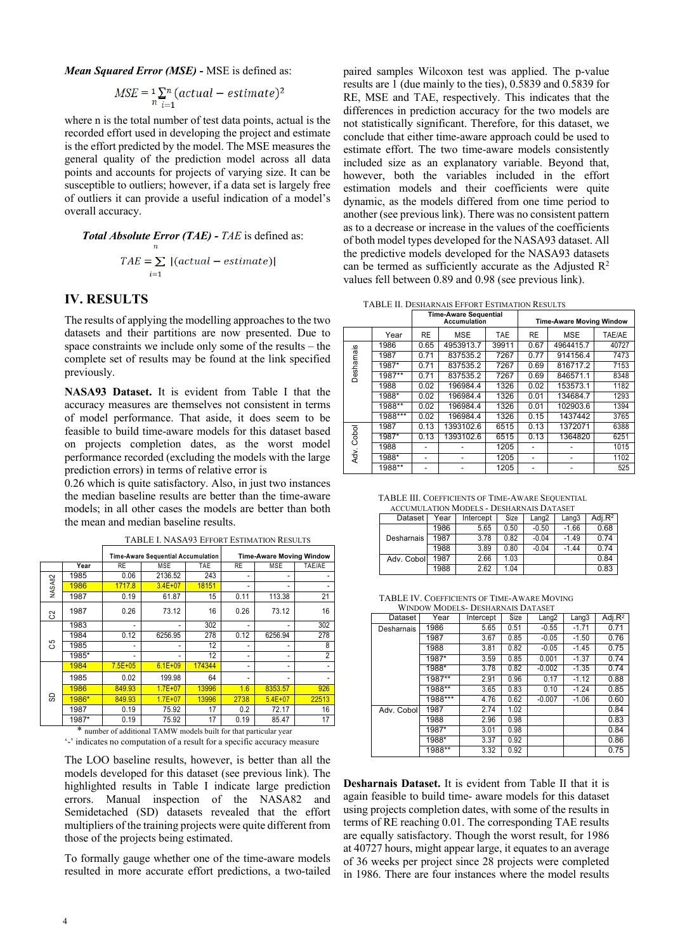*Mean Squared Error (MSE)* **-** MSE is defined as:

$$
MSE = \sum_{n} \sum_{i=1}^{n} (actual - estimate)^2
$$

where n is the total number of test data points, actual is the recorded effort used in developing the project and estimate is the effort predicted by the model. The MSE measures the general quality of the prediction model across all data points and accounts for projects of varying size. It can be susceptible to outliers; however, if a data set is largely free of outliers it can provide a useful indication of a model's overall accuracy.

**Total Absolute Error (TAE)** - *TAE* is defined as:  
\n
$$
TAE = \sum_{i=1} |(actual - estimate)|
$$

## **IV. RESULTS**

The results of applying the modelling approaches to the two datasets and their partitions are now presented. Due to space constraints we include only some of the results – the complete set of results may be found at the link specified previously.

**NASA93 Dataset.** It is evident from Table I that the accuracy measures are themselves not consistent in terms of model performance. That aside, it does seem to be feasible to build time-aware models for this dataset based on projects completion dates, as the worst model performance recorded (excluding the models with the large prediction errors) in terms of relative error is

0.26 which is quite satisfactory. Also, in just two instances the median baseline results are better than the time-aware models; in all other cases the models are better than both the mean and median baseline results.

|                                                                           |       | <b>Time-Aware Sequential Accumulation</b> |             |        | <b>Time-Aware Moving Window</b> |             |        |
|---------------------------------------------------------------------------|-------|-------------------------------------------|-------------|--------|---------------------------------|-------------|--------|
|                                                                           | Year  | <b>RE</b>                                 | <b>MSE</b>  | TAE    | <b>RE</b>                       | MSE         | TAE/AE |
| <b>NASA82</b>                                                             | 1985  | 0.06                                      | 2136.52     | 243    | ٠                               | ۰           |        |
|                                                                           | 1986  | 1717.8                                    | $3.4E + 07$ | 18151  | ۰                               | ۰           |        |
|                                                                           | 1987  | 0.19                                      | 61.87       | 15     | 0.11                            | 113.38      | 21     |
| 3                                                                         | 1987  | 0.26                                      | 73.12       | 16     | 0.26                            | 73.12       | 16     |
|                                                                           | 1983  | ٠                                         |             | 302    | ۰                               | ۰           | 302    |
|                                                                           | 1984  | 0.12                                      | 6256.95     | 278    | 0.12                            | 6256.94     | 278    |
| යි                                                                        | 1985  | ۰                                         |             | 12     |                                 |             | 8      |
|                                                                           | 1985* | ٠                                         |             | 12     | ٠                               | ۰           | 2      |
| င္တ                                                                       | 1984  | $7.5E + 05$                               | $6.1E + 09$ | 174344 |                                 | ۰           |        |
|                                                                           | 1985  | 0.02                                      | 199.98      | 64     |                                 |             |        |
|                                                                           | 1986  | 849.93                                    | $1.7E + 07$ | 13996  | 1.6                             | 8353.57     | 926    |
|                                                                           | 1986* | 849.93                                    | $1.7E + 07$ | 13996  | 2738                            | $5.4E + 07$ | 22513  |
|                                                                           | 1987  | 0.19                                      | 75.92       | 17     | 0.2                             | 72.17       | 16     |
|                                                                           | 1987* | 0.19                                      | 75.92       | 17     | 0.19                            | 85.47       | 17     |
| $\ast$<br>number of additional TAMW models built for that particular year |       |                                           |             |        |                                 |             |        |

TABLE I. NASA93 EFFORT ESTIMATION RESULTS

'-' indicates no computation of a result for a specific accuracy measure

The LOO baseline results, however, is better than all the models developed for this dataset (see previous link). The highlighted results in Table I indicate large prediction errors. Manual inspection of the NASA82 and Semidetached (SD) datasets revealed that the effort multipliers of the training projects were quite different from those of the projects being estimated.

To formally gauge whether one of the time-aware models resulted in more accurate effort predictions, a two-tailed paired samples Wilcoxon test was applied. The p-value results are 1 (due mainly to the ties), 0.5839 and 0.5839 for RE, MSE and TAE, respectively. This indicates that the differences in prediction accuracy for the two models are not statistically significant. Therefore, for this dataset, we conclude that either time-aware approach could be used to estimate effort. The two time-aware models consistently included size as an explanatory variable. Beyond that, however, both the variables included in the effort estimation models and their coefficients were quite dynamic, as the models differed from one time period to another (see previous link). There was no consistent pattern as to a decrease or increase in the values of the coefficients of both model types developed for the NASA93 dataset. All the predictive models developed for the NASA93 datasets can be termed as sufficiently accurate as the Adjusted  $\mathbb{R}^2$ values fell between 0.89 and 0.98 (see previous link).

TABLE II. DESHARNAIS EFFORT ESTIMATION RESULTS

|               |           | <b>Time-Aware Sequential</b><br>Accumulation |            |            | <b>Time-Aware Moving Window</b> |            |        |  |
|---------------|-----------|----------------------------------------------|------------|------------|---------------------------------|------------|--------|--|
|               | Year      | <b>RE</b>                                    | <b>MSE</b> | <b>TAE</b> | <b>RE</b>                       | <b>MSE</b> | TAE/AE |  |
| Desharnais    | 1986      | 0.65                                         | 4953913.7  | 39911      | 0.67                            | 4964415.7  | 40727  |  |
|               | 1987      | 0.71                                         | 837535.2   | 7267       | 0.77                            | 914156.4   | 7473   |  |
|               | 1987*     | 0.71                                         | 837535.2   | 7267       | 0.69                            | 816717.2   | 7153   |  |
|               | $1987***$ | 0.71                                         | 837535.2   | 7267       | 0.69                            | 846571.1   | 8348   |  |
|               | 1988      | 0.02                                         | 196984.4   | 1326       | 0.02                            | 153573.1   | 1182   |  |
|               | 1988*     | 0.02                                         | 196984.4   | 1326       | 0.01                            | 134684.7   | 1293   |  |
|               | 1988**    | 0.02                                         | 196984.4   | 1326       | 0.01                            | 102903.6   | 1394   |  |
|               | $1988***$ | 0.02                                         | 196984.4   | 1326       | 0.15                            | 1437442    | 3765   |  |
| Cobol<br>Adv. | 1987      | 0.13                                         | 1393102.6  | 6515       | 0.13                            | 1372071    | 6388   |  |
|               | 1987*     | 0.13                                         | 1393102.6  | 6515       | 0.13                            | 1364820    | 6251   |  |
|               | 1988      |                                              |            | 1205       |                                 |            | 1015   |  |
|               | 1988*     |                                              |            | 1205       |                                 |            | 1102   |  |
|               | $1988***$ |                                              |            | 1205       |                                 |            | 525    |  |

TABLE III. COEFFICIENTS OF TIME-AWARE SEQUENTIAL ACCUMULATION MODELS - DESHARNAIS DATASET

| AUJURIULA LIUR INULLELS = LIESHANNAIS LIA LASET |      |           |      |                   |         |            |  |
|-------------------------------------------------|------|-----------|------|-------------------|---------|------------|--|
| Dataset                                         | Year | Intercept | Size | Lang <sub>2</sub> | Lang3   | Adj. $R^2$ |  |
|                                                 | 1986 | 5.65      | 0.50 | $-0.50$           | $-1.66$ | 0.68       |  |
| Desharnais                                      | 1987 | 3.78      | 0.82 | $-0.04$           | $-1.49$ | 0.74       |  |
|                                                 | 1988 | 3.89      | 0.80 | $-0.04$           | $-1.44$ | 0.74       |  |
| Adv. Cobol                                      | 1987 | 2.66      | 1.03 |                   |         | 0.84       |  |
|                                                 | 1988 | 2.62      | 1.04 |                   |         | 0.83       |  |

TABLE IV. COEFFICIENTS OF TIME-AWARE MOVING

| <b>WINDOW MODELS- DESHARNAIS DATASET</b> |           |           |      |          |         |            |  |
|------------------------------------------|-----------|-----------|------|----------|---------|------------|--|
| Dataset                                  | Year      | Intercept | Size | Lang2    | Lang3   | Adj. $R^2$ |  |
| Desharnais                               | 1986      | 5.65      | 0.51 | $-0.55$  | $-1.71$ | 0.71       |  |
|                                          | 1987      | 3.67      | 0.85 | $-0.05$  | $-1.50$ | 0.76       |  |
|                                          | 1988      | 3.81      | 0.82 | $-0.05$  | $-1.45$ | 0.75       |  |
|                                          | 1987*     | 3.59      | 0.85 | 0.001    | $-1.37$ | 0.74       |  |
|                                          | 1988*     | 3.78      | 0.82 | $-0.002$ | $-1.35$ | 0.74       |  |
|                                          | $1987***$ | 2.91      | 0.96 | 0.17     | $-1.12$ | 0.88       |  |
|                                          | 1988**    | 3.65      | 0.83 | 0.10     | $-1.24$ | 0.85       |  |
|                                          | 1988***   | 4.76      | 0.62 | $-0.007$ | $-1.06$ | 0.60       |  |
| Adv. Cobol                               | 1987      | 2.74      | 1.02 |          |         | 0.84       |  |
|                                          | 1988      | 2.96      | 0.98 |          |         | 0.83       |  |
|                                          | $1987*$   | 3.01      | 0.98 |          |         | 0.84       |  |
|                                          | 1988*     | 3.37      | 0.92 |          |         | 0.86       |  |
|                                          | 1988**    | 3.32      | 0.92 |          |         | 0.75       |  |

**Desharnais Dataset.** It is evident from Table II that it is again feasible to build time- aware models for this dataset using projects completion dates, with some of the results in terms of RE reaching 0.01. The corresponding TAE results are equally satisfactory. Though the worst result, for 1986 at 40727 hours, might appear large, it equates to an average of 36 weeks per project since 28 projects were completed in 1986. There are four instances where the model results